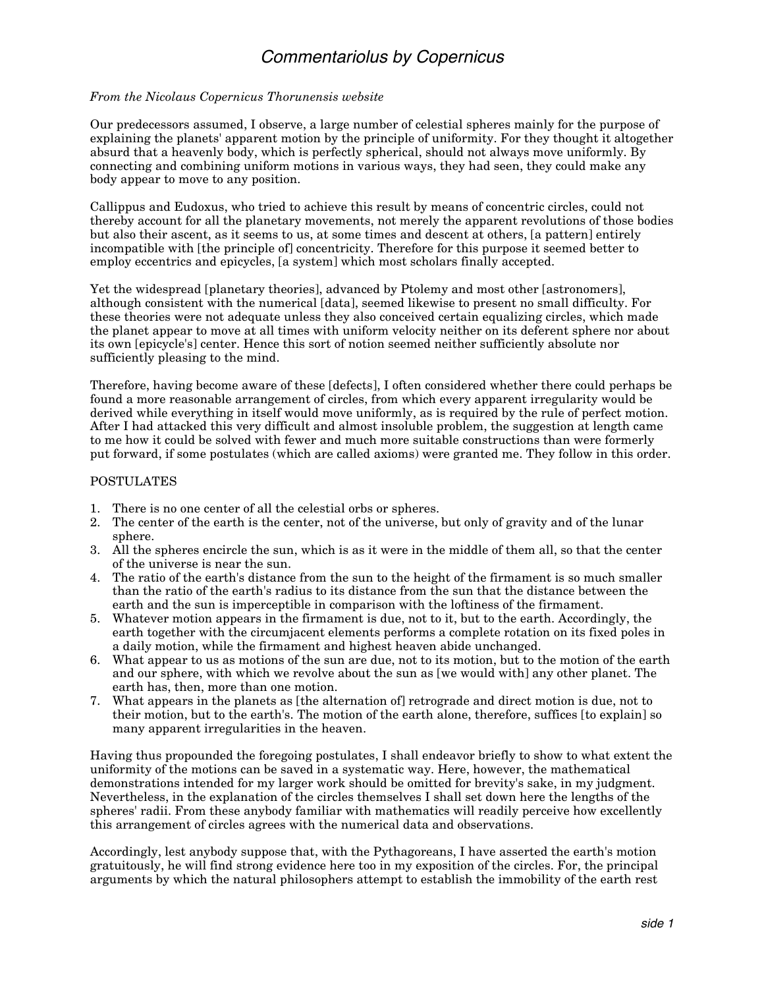## *From the Nicolaus Copernicus Thorunensis website*

Our predecessors assumed, I observe, a large number of celestial spheres mainly for the purpose of explaining the planets' apparent motion by the principle of uniformity. For they thought it altogether absurd that a heavenly body, which is perfectly spherical, should not always move uniformly. By connecting and combining uniform motions in various ways, they had seen, they could make any body appear to move to any position.

Callippus and Eudoxus, who tried to achieve this result by means of concentric circles, could not thereby account for all the planetary movements, not merely the apparent revolutions of those bodies but also their ascent, as it seems to us, at some times and descent at others, [a pattern] entirely incompatible with [the principle of] concentricity. Therefore for this purpose it seemed better to employ eccentrics and epicycles, [a system] which most scholars finally accepted.

Yet the widespread [planetary theories], advanced by Ptolemy and most other [astronomers], although consistent with the numerical [data], seemed likewise to present no small difficulty. For these theories were not adequate unless they also conceived certain equalizing circles, which made the planet appear to move at all times with uniform velocity neither on its deferent sphere nor about its own [epicycle's] center. Hence this sort of notion seemed neither sufficiently absolute nor sufficiently pleasing to the mind.

Therefore, having become aware of these [defects], I often considered whether there could perhaps be found a more reasonable arrangement of circles, from which every apparent irregularity would be derived while everything in itself would move uniformly, as is required by the rule of perfect motion. After I had attacked this very difficult and almost insoluble problem, the suggestion at length came to me how it could be solved with fewer and much more suitable constructions than were formerly put forward, if some postulates (which are called axioms) were granted me. They follow in this order.

#### POSTULATES

- 1. There is no one center of all the celestial orbs or spheres.
- 2. The center of the earth is the center, not of the universe, but only of gravity and of the lunar sphere.
- 3. All the spheres encircle the sun, which is as it were in the middle of them all, so that the center of the universe is near the sun.
- 4. The ratio of the earth's distance from the sun to the height of the firmament is so much smaller than the ratio of the earth's radius to its distance from the sun that the distance between the earth and the sun is imperceptible in comparison with the loftiness of the firmament.
- 5. Whatever motion appears in the firmament is due, not to it, but to the earth. Accordingly, the earth together with the circumjacent elements performs a complete rotation on its fixed poles in a daily motion, while the firmament and highest heaven abide unchanged.
- 6. What appear to us as motions of the sun are due, not to its motion, but to the motion of the earth and our sphere, with which we revolve about the sun as [we would with] any other planet. The earth has, then, more than one motion.
- 7. What appears in the planets as [the alternation of] retrograde and direct motion is due, not to their motion, but to the earth's. The motion of the earth alone, therefore, suffices [to explain] so many apparent irregularities in the heaven.

Having thus propounded the foregoing postulates, I shall endeavor briefly to show to what extent the uniformity of the motions can be saved in a systematic way. Here, however, the mathematical demonstrations intended for my larger work should be omitted for brevity's sake, in my judgment. Nevertheless, in the explanation of the circles themselves I shall set down here the lengths of the spheres' radii. From these anybody familiar with mathematics will readily perceive how excellently this arrangement of circles agrees with the numerical data and observations.

Accordingly, lest anybody suppose that, with the Pythagoreans, I have asserted the earth's motion gratuitously, he will find strong evidence here too in my exposition of the circles. For, the principal arguments by which the natural philosophers attempt to establish the immobility of the earth rest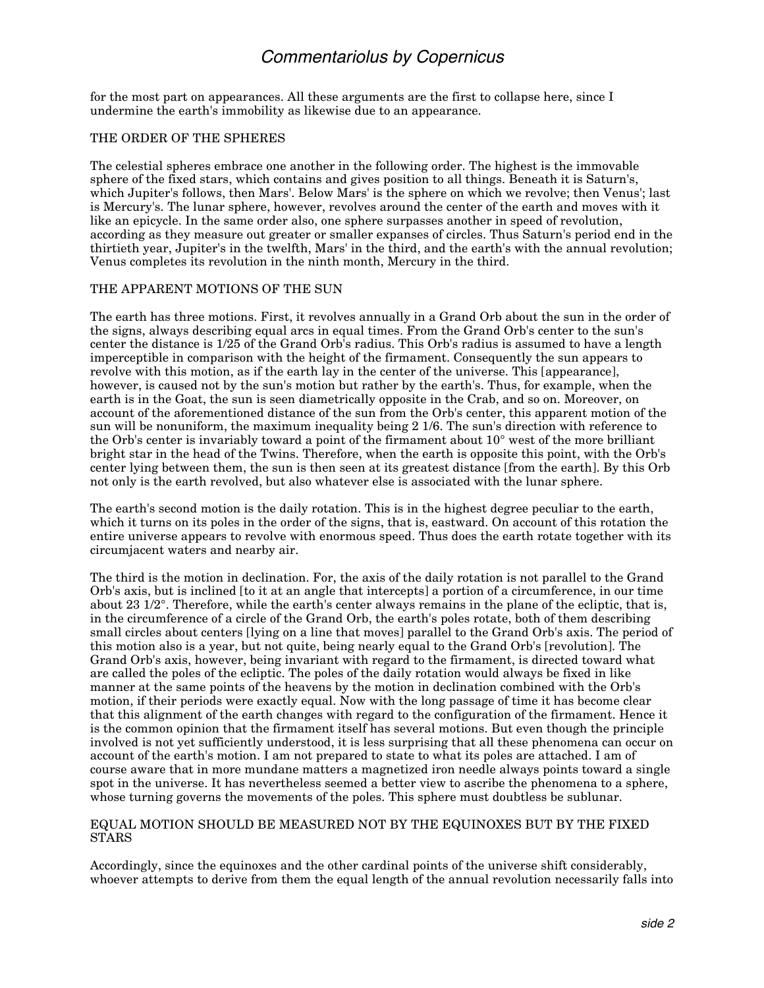for the most part on appearances. All these arguments are the first to collapse here, since I undermine the earth's immobility as likewise due to an appearance.

## THE ORDER OF THE SPHERES

The celestial spheres embrace one another in the following order. The highest is the immovable sphere of the fixed stars, which contains and gives position to all things. Beneath it is Saturn's, which Jupiter's follows, then Mars'. Below Mars' is the sphere on which we revolve; then Venus'; last is Mercury's. The lunar sphere, however, revolves around the center of the earth and moves with it like an epicycle. In the same order also, one sphere surpasses another in speed of revolution, according as they measure out greater or smaller expanses of circles. Thus Saturn's period end in the thirtieth year, Jupiter's in the twelfth, Mars' in the third, and the earth's with the annual revolution; Venus completes its revolution in the ninth month, Mercury in the third.

## THE APPARENT MOTIONS OF THE SUN

The earth has three motions. First, it revolves annually in a Grand Orb about the sun in the order of the signs, always describing equal arcs in equal times. From the Grand Orb's center to the sun's center the distance is 1/25 of the Grand Orb's radius. This Orb's radius is assumed to have a length imperceptible in comparison with the height of the firmament. Consequently the sun appears to revolve with this motion, as if the earth lay in the center of the universe. This [appearance], however, is caused not by the sun's motion but rather by the earth's. Thus, for example, when the earth is in the Goat, the sun is seen diametrically opposite in the Crab, and so on. Moreover, on account of the aforementioned distance of the sun from the Orb's center, this apparent motion of the sun will be nonuniform, the maximum inequality being 2 1/6. The sun's direction with reference to the Orb's center is invariably toward a point of the firmament about 10° west of the more brilliant bright star in the head of the Twins. Therefore, when the earth is opposite this point, with the Orb's center lying between them, the sun is then seen at its greatest distance [from the earth]. By this Orb not only is the earth revolved, but also whatever else is associated with the lunar sphere.

The earth's second motion is the daily rotation. This is in the highest degree peculiar to the earth, which it turns on its poles in the order of the signs, that is, eastward. On account of this rotation the entire universe appears to revolve with enormous speed. Thus does the earth rotate together with its circumjacent waters and nearby air.

The third is the motion in declination. For, the axis of the daily rotation is not parallel to the Grand Orb's axis, but is inclined [to it at an angle that intercepts] a portion of a circumference, in our time about 23  $1/2^{\circ}$ . Therefore, while the earth's center always remains in the plane of the ecliptic, that is, in the circumference of a circle of the Grand Orb, the earth's poles rotate, both of them describing small circles about centers [lying on a line that moves] parallel to the Grand Orb's axis. The period of this motion also is a year, but not quite, being nearly equal to the Grand Orb's [revolution]. The Grand Orb's axis, however, being invariant with regard to the firmament, is directed toward what are called the poles of the ecliptic. The poles of the daily rotation would always be fixed in like manner at the same points of the heavens by the motion in declination combined with the Orb's motion, if their periods were exactly equal. Now with the long passage of time it has become clear that this alignment of the earth changes with regard to the configuration of the firmament. Hence it is the common opinion that the firmament itself has several motions. But even though the principle involved is not yet sufficiently understood, it is less surprising that all these phenomena can occur on account of the earth's motion. I am not prepared to state to what its poles are attached. I am of course aware that in more mundane matters a magnetized iron needle always points toward a single spot in the universe. It has nevertheless seemed a better view to ascribe the phenomena to a sphere, whose turning governs the movements of the poles. This sphere must doubtless be sublunar.

### EQUAL MOTION SHOULD BE MEASURED NOT BY THE EQUINOXES BUT BY THE FIXED STARS

Accordingly, since the equinoxes and the other cardinal points of the universe shift considerably, whoever attempts to derive from them the equal length of the annual revolution necessarily falls into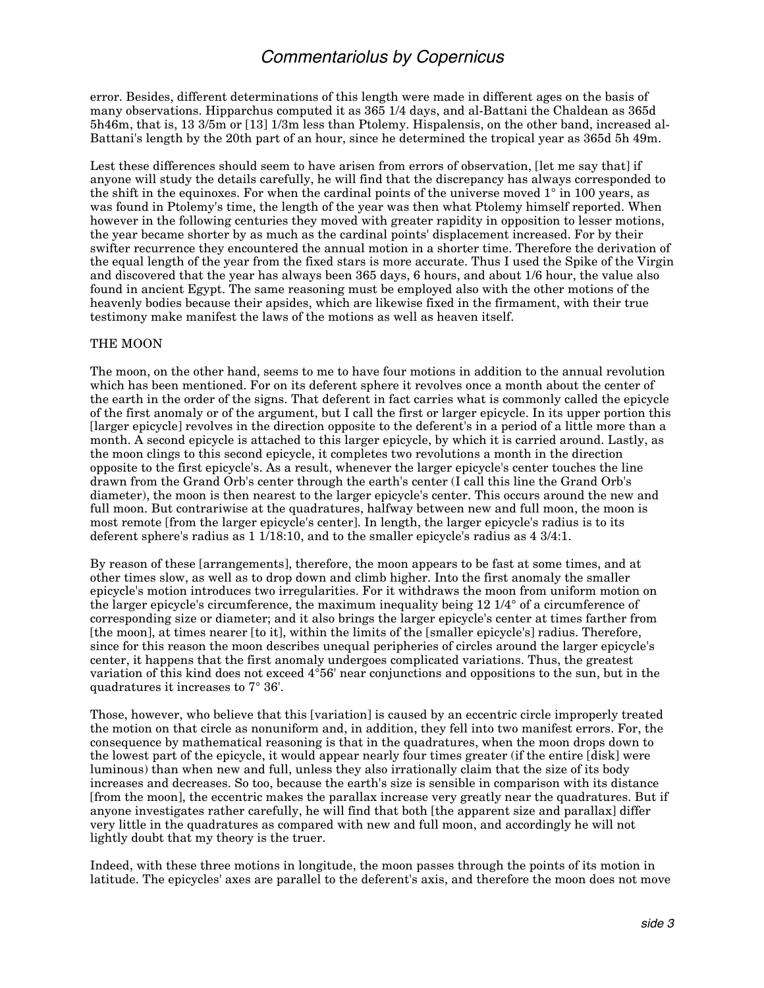error. Besides, different determinations of this length were made in different ages on the basis of many observations. Hipparchus computed it as 365 1/4 days, and al-Battani the Chaldean as 365d 5h46m, that is, 13 3/5m or [13] 1/3m less than Ptolemy. Hispalensis, on the other band, increased al-Battani's length by the 20th part of an hour, since he determined the tropical year as 365d 5h 49m.

Lest these differences should seem to have arisen from errors of observation, [let me say that] if anyone will study the details carefully, he will find that the discrepancy has always corresponded to the shift in the equinoxes. For when the cardinal points of the universe moved 1° in 100 years, as was found in Ptolemy's time, the length of the year was then what Ptolemy himself reported. When however in the following centuries they moved with greater rapidity in opposition to lesser motions, the year became shorter by as much as the cardinal points' displacement increased. For by their swifter recurrence they encountered the annual motion in a shorter time. Therefore the derivation of the equal length of the year from the fixed stars is more accurate. Thus I used the Spike of the Virgin and discovered that the year has always been 365 days, 6 hours, and about 1/6 hour, the value also found in ancient Egypt. The same reasoning must be employed also with the other motions of the heavenly bodies because their apsides, which are likewise fixed in the firmament, with their true testimony make manifest the laws of the motions as well as heaven itself.

#### THE MOON

The moon, on the other hand, seems to me to have four motions in addition to the annual revolution which has been mentioned. For on its deferent sphere it revolves once a month about the center of the earth in the order of the signs. That deferent in fact carries what is commonly called the epicycle of the first anomaly or of the argument, but I call the first or larger epicycle. In its upper portion this [larger epicycle] revolves in the direction opposite to the deferent's in a period of a little more than a month. A second epicycle is attached to this larger epicycle, by which it is carried around. Lastly, as the moon clings to this second epicycle, it completes two revolutions a month in the direction opposite to the first epicycle's. As a result, whenever the larger epicycle's center touches the line drawn from the Grand Orb's center through the earth's center (I call this line the Grand Orb's diameter), the moon is then nearest to the larger epicycle's center. This occurs around the new and full moon. But contrariwise at the quadratures, halfway between new and full moon, the moon is most remote [from the larger epicycle's center]. In length, the larger epicycle's radius is to its deferent sphere's radius as 1 1/18:10, and to the smaller epicycle's radius as 4 3/4:1.

By reason of these [arrangements], therefore, the moon appears to be fast at some times, and at other times slow, as well as to drop down and climb higher. Into the first anomaly the smaller epicycle's motion introduces two irregularities. For it withdraws the moon from uniform motion on the larger epicycle's circumference, the maximum inequality being 12 1/4° of a circumference of corresponding size or diameter; and it also brings the larger epicycle's center at times farther from [the moon], at times nearer [to it], within the limits of the [smaller epicycle's] radius. Therefore, since for this reason the moon describes unequal peripheries of circles around the larger epicycle's center, it happens that the first anomaly undergoes complicated variations. Thus, the greatest variation of this kind does not exceed 4°56' near conjunctions and oppositions to the sun, but in the quadratures it increases to 7° 36'.

Those, however, who believe that this [variation] is caused by an eccentric circle improperly treated the motion on that circle as nonuniform and, in addition, they fell into two manifest errors. For, the consequence by mathematical reasoning is that in the quadratures, when the moon drops down to the lowest part of the epicycle, it would appear nearly four times greater (if the entire [disk] were luminous) than when new and full, unless they also irrationally claim that the size of its body increases and decreases. So too, because the earth's size is sensible in comparison with its distance [from the moon], the eccentric makes the parallax increase very greatly near the quadratures. But if anyone investigates rather carefully, he will find that both [the apparent size and parallax] differ very little in the quadratures as compared with new and full moon, and accordingly he will not lightly doubt that my theory is the truer.

Indeed, with these three motions in longitude, the moon passes through the points of its motion in latitude. The epicycles' axes are parallel to the deferent's axis, and therefore the moon does not move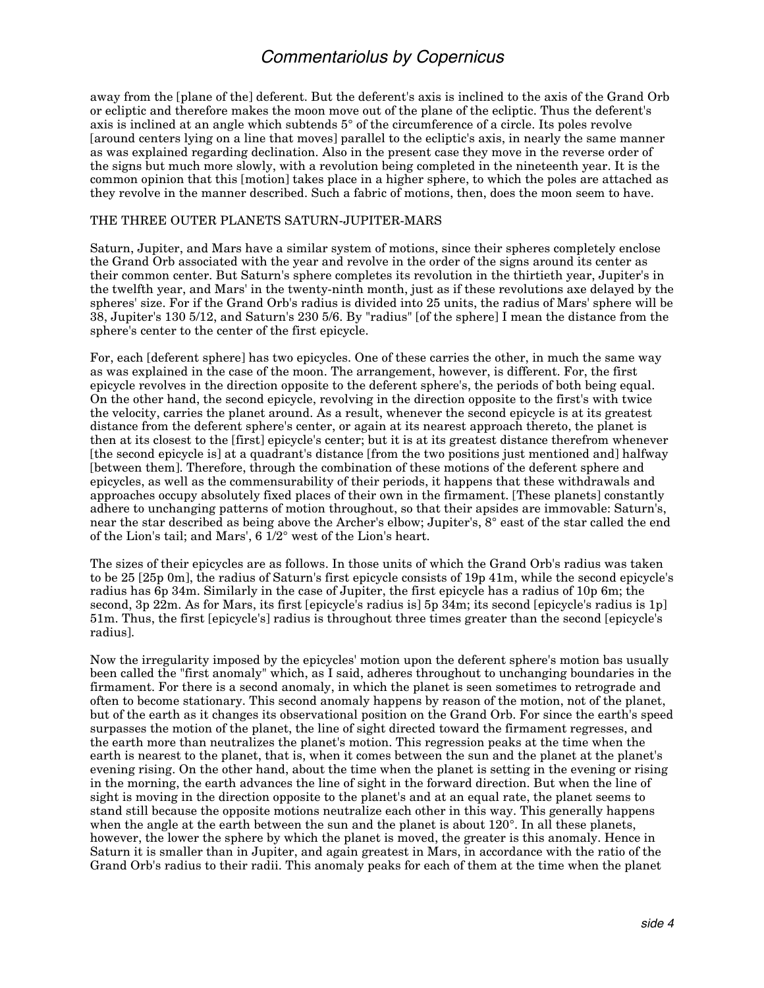away from the [plane of the] deferent. But the deferent's axis is inclined to the axis of the Grand Orb or ecliptic and therefore makes the moon move out of the plane of the ecliptic. Thus the deferent's axis is inclined at an angle which subtends 5° of the circumference of a circle. Its poles revolve [around centers lying on a line that moves] parallel to the ecliptic's axis, in nearly the same manner as was explained regarding declination. Also in the present case they move in the reverse order of the signs but much more slowly, with a revolution being completed in the nineteenth year. It is the common opinion that this [motion] takes place in a higher sphere, to which the poles are attached as they revolve in the manner described. Such a fabric of motions, then, does the moon seem to have.

#### THE THREE OUTER PLANETS SATURN-JUPITER-MARS

Saturn, Jupiter, and Mars have a similar system of motions, since their spheres completely enclose the Grand Orb associated with the year and revolve in the order of the signs around its center as their common center. But Saturn's sphere completes its revolution in the thirtieth year, Jupiter's in the twelfth year, and Mars' in the twenty-ninth month, just as if these revolutions axe delayed by the spheres' size. For if the Grand Orb's radius is divided into 25 units, the radius of Mars' sphere will be 38, Jupiter's 130 5/12, and Saturn's 230 5/6. By "radius" [of the sphere] I mean the distance from the sphere's center to the center of the first epicycle.

For, each [deferent sphere] has two epicycles. One of these carries the other, in much the same way as was explained in the case of the moon. The arrangement, however, is different. For, the first epicycle revolves in the direction opposite to the deferent sphere's, the periods of both being equal. On the other hand, the second epicycle, revolving in the direction opposite to the first's with twice the velocity, carries the planet around. As a result, whenever the second epicycle is at its greatest distance from the deferent sphere's center, or again at its nearest approach thereto, the planet is then at its closest to the [first] epicycle's center; but it is at its greatest distance therefrom whenever [the second epicycle is] at a quadrant's distance [from the two positions just mentioned and] halfway [between them]. Therefore, through the combination of these motions of the deferent sphere and epicycles, as well as the commensurability of their periods, it happens that these withdrawals and approaches occupy absolutely fixed places of their own in the firmament. [These planets] constantly adhere to unchanging patterns of motion throughout, so that their apsides are immovable: Saturn's, near the star described as being above the Archer's elbow; Jupiter's, 8° east of the star called the end of the Lion's tail; and Mars', 6 1/2° west of the Lion's heart.

The sizes of their epicycles are as follows. In those units of which the Grand Orb's radius was taken to be 25 [25p 0m], the radius of Saturn's first epicycle consists of 19p 41m, while the second epicycle's radius has 6p 34m. Similarly in the case of Jupiter, the first epicycle has a radius of 10p 6m; the second, 3p 22m. As for Mars, its first [epicycle's radius is] 5p 34m; its second [epicycle's radius is 1p] 51m. Thus, the first [epicycle's] radius is throughout three times greater than the second [epicycle's radius].

Now the irregularity imposed by the epicycles' motion upon the deferent sphere's motion bas usually been called the "first anomaly" which, as I said, adheres throughout to unchanging boundaries in the firmament. For there is a second anomaly, in which the planet is seen sometimes to retrograde and often to become stationary. This second anomaly happens by reason of the motion, not of the planet, but of the earth as it changes its observational position on the Grand Orb. For since the earth's speed surpasses the motion of the planet, the line of sight directed toward the firmament regresses, and the earth more than neutralizes the planet's motion. This regression peaks at the time when the earth is nearest to the planet, that is, when it comes between the sun and the planet at the planet's evening rising. On the other hand, about the time when the planet is setting in the evening or rising in the morning, the earth advances the line of sight in the forward direction. But when the line of sight is moving in the direction opposite to the planet's and at an equal rate, the planet seems to stand still because the opposite motions neutralize each other in this way. This generally happens when the angle at the earth between the sun and the planet is about 120°. In all these planets, however, the lower the sphere by which the planet is moved, the greater is this anomaly. Hence in Saturn it is smaller than in Jupiter, and again greatest in Mars, in accordance with the ratio of the Grand Orb's radius to their radii. This anomaly peaks for each of them at the time when the planet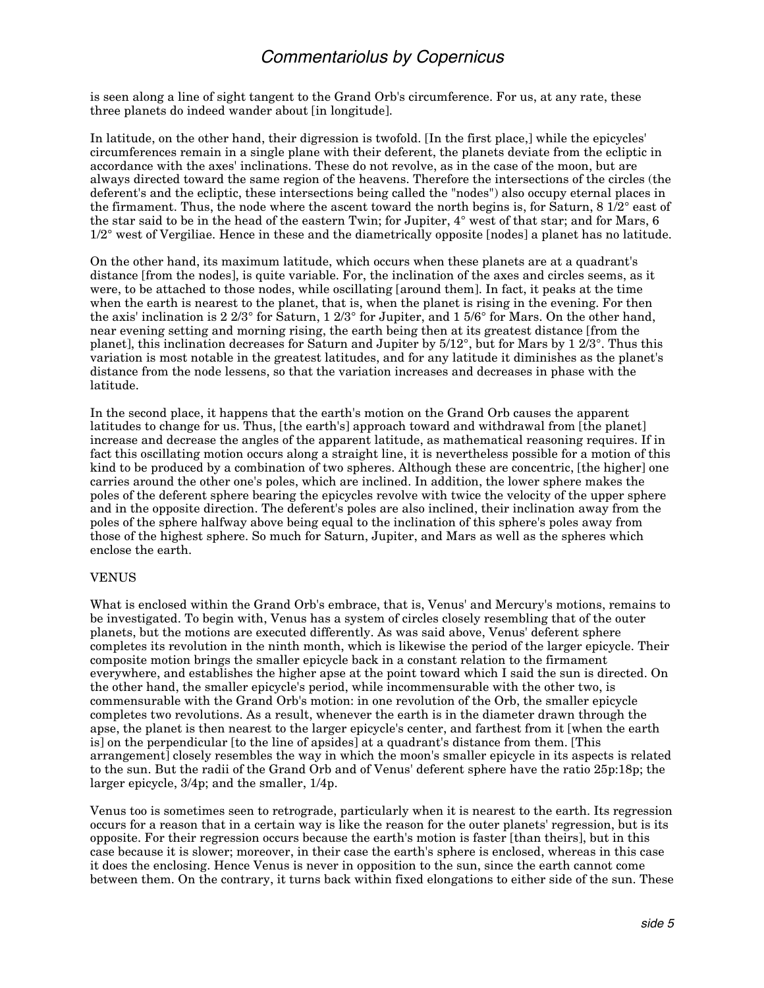is seen along a line of sight tangent to the Grand Orb's circumference. For us, at any rate, these three planets do indeed wander about [in longitude].

In latitude, on the other hand, their digression is twofold. [In the first place,] while the epicycles' circumferences remain in a single plane with their deferent, the planets deviate from the ecliptic in accordance with the axes' inclinations. These do not revolve, as in the case of the moon, but are always directed toward the same region of the heavens. Therefore the intersections of the circles (the deferent's and the ecliptic, these intersections being called the "nodes") also occupy eternal places in the firmament. Thus, the node where the ascent toward the north begins is, for Saturn, 8 1/2° east of the star said to be in the head of the eastern Twin; for Jupiter, 4° west of that star; and for Mars, 6 1/2° west of Vergiliae. Hence in these and the diametrically opposite [nodes] a planet has no latitude.

On the other hand, its maximum latitude, which occurs when these planets are at a quadrant's distance [from the nodes], is quite variable. For, the inclination of the axes and circles seems, as it were, to be attached to those nodes, while oscillating [around them]. In fact, it peaks at the time when the earth is nearest to the planet, that is, when the planet is rising in the evening. For then the axis' inclination is 2 2/3° for Saturn, 1 2/3° for Jupiter, and 1 5/6° for Mars. On the other hand, near evening setting and morning rising, the earth being then at its greatest distance [from the planet], this inclination decreases for Saturn and Jupiter by 5/12°, but for Mars by 1 2/3°. Thus this variation is most notable in the greatest latitudes, and for any latitude it diminishes as the planet's distance from the node lessens, so that the variation increases and decreases in phase with the latitude.

In the second place, it happens that the earth's motion on the Grand Orb causes the apparent latitudes to change for us. Thus, [the earth's] approach toward and withdrawal from [the planet] increase and decrease the angles of the apparent latitude, as mathematical reasoning requires. If in fact this oscillating motion occurs along a straight line, it is nevertheless possible for a motion of this kind to be produced by a combination of two spheres. Although these are concentric, [the higher] one carries around the other one's poles, which are inclined. In addition, the lower sphere makes the poles of the deferent sphere bearing the epicycles revolve with twice the velocity of the upper sphere and in the opposite direction. The deferent's poles are also inclined, their inclination away from the poles of the sphere halfway above being equal to the inclination of this sphere's poles away from those of the highest sphere. So much for Saturn, Jupiter, and Mars as well as the spheres which enclose the earth.

## VENUS

What is enclosed within the Grand Orb's embrace, that is, Venus' and Mercury's motions, remains to be investigated. To begin with, Venus has a system of circles closely resembling that of the outer planets, but the motions are executed differently. As was said above, Venus' deferent sphere completes its revolution in the ninth month, which is likewise the period of the larger epicycle. Their composite motion brings the smaller epicycle back in a constant relation to the firmament everywhere, and establishes the higher apse at the point toward which I said the sun is directed. On the other hand, the smaller epicycle's period, while incommensurable with the other two, is commensurable with the Grand Orb's motion: in one revolution of the Orb, the smaller epicycle completes two revolutions. As a result, whenever the earth is in the diameter drawn through the apse, the planet is then nearest to the larger epicycle's center, and farthest from it [when the earth is] on the perpendicular [to the line of apsides] at a quadrant's distance from them. [This arrangement] closely resembles the way in which the moon's smaller epicycle in its aspects is related to the sun. But the radii of the Grand Orb and of Venus' deferent sphere have the ratio 25p:18p; the larger epicycle, 3/4p; and the smaller, 1/4p.

Venus too is sometimes seen to retrograde, particularly when it is nearest to the earth. Its regression occurs for a reason that in a certain way is like the reason for the outer planets' regression, but is its opposite. For their regression occurs because the earth's motion is faster [than theirs], but in this case because it is slower; moreover, in their case the earth's sphere is enclosed, whereas in this case it does the enclosing. Hence Venus is never in opposition to the sun, since the earth cannot come between them. On the contrary, it turns back within fixed elongations to either side of the sun. These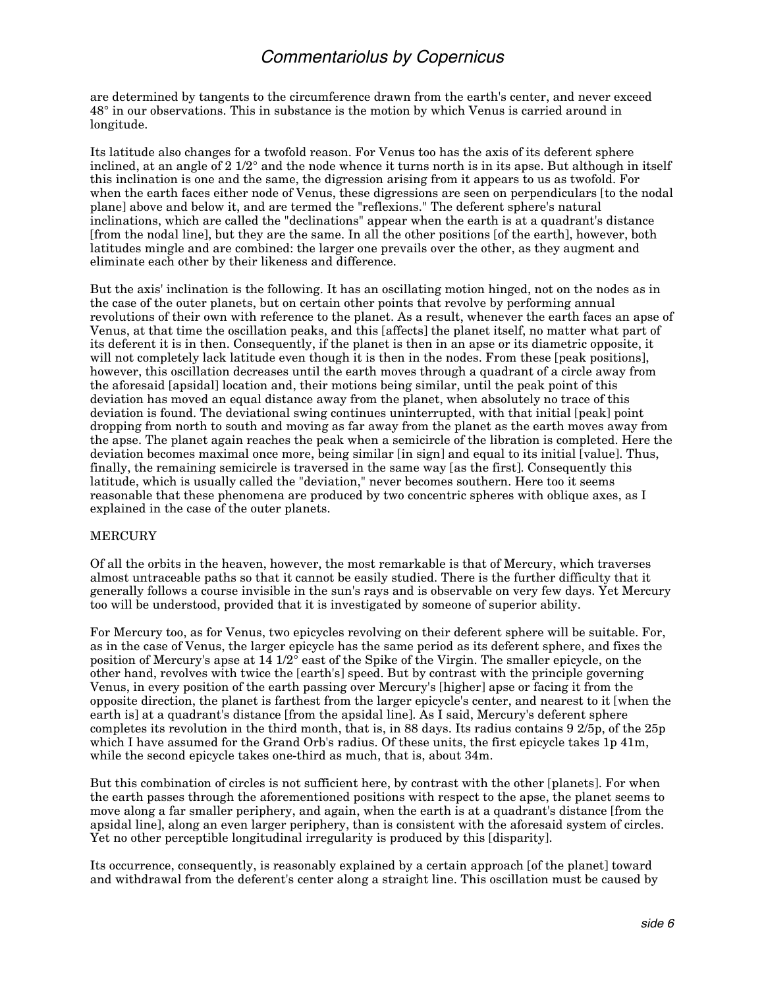are determined by tangents to the circumference drawn from the earth's center, and never exceed 48° in our observations. This in substance is the motion by which Venus is carried around in longitude.

Its latitude also changes for a twofold reason. For Venus too has the axis of its deferent sphere inclined, at an angle of 2 1/2° and the node whence it turns north is in its apse. But although in itself this inclination is one and the same, the digression arising from it appears to us as twofold. For when the earth faces either node of Venus, these digressions are seen on perpendiculars [to the nodal plane] above and below it, and are termed the "reflexions." The deferent sphere's natural inclinations, which are called the "declinations" appear when the earth is at a quadrant's distance [from the nodal line], but they are the same. In all the other positions [of the earth], however, both latitudes mingle and are combined: the larger one prevails over the other, as they augment and eliminate each other by their likeness and difference.

But the axis' inclination is the following. It has an oscillating motion hinged, not on the nodes as in the case of the outer planets, but on certain other points that revolve by performing annual revolutions of their own with reference to the planet. As a result, whenever the earth faces an apse of Venus, at that time the oscillation peaks, and this [affects] the planet itself, no matter what part of its deferent it is in then. Consequently, if the planet is then in an apse or its diametric opposite, it will not completely lack latitude even though it is then in the nodes. From these [peak positions], however, this oscillation decreases until the earth moves through a quadrant of a circle away from the aforesaid [apsidal] location and, their motions being similar, until the peak point of this deviation has moved an equal distance away from the planet, when absolutely no trace of this deviation is found. The deviational swing continues uninterrupted, with that initial [peak] point dropping from north to south and moving as far away from the planet as the earth moves away from the apse. The planet again reaches the peak when a semicircle of the libration is completed. Here the deviation becomes maximal once more, being similar [in sign] and equal to its initial [value]. Thus, finally, the remaining semicircle is traversed in the same way [as the first]. Consequently this latitude, which is usually called the "deviation," never becomes southern. Here too it seems reasonable that these phenomena are produced by two concentric spheres with oblique axes, as I explained in the case of the outer planets.

## MERCURY

Of all the orbits in the heaven, however, the most remarkable is that of Mercury, which traverses almost untraceable paths so that it cannot be easily studied. There is the further difficulty that it generally follows a course invisible in the sun's rays and is observable on very few days. Yet Mercury too will be understood, provided that it is investigated by someone of superior ability.

For Mercury too, as for Venus, two epicycles revolving on their deferent sphere will be suitable. For, as in the case of Venus, the larger epicycle has the same period as its deferent sphere, and fixes the position of Mercury's apse at 14 1/2° east of the Spike of the Virgin. The smaller epicycle, on the other hand, revolves with twice the [earth's] speed. But by contrast with the principle governing Venus, in every position of the earth passing over Mercury's [higher] apse or facing it from the opposite direction, the planet is farthest from the larger epicycle's center, and nearest to it [when the earth is] at a quadrant's distance [from the apsidal line]. As I said, Mercury's deferent sphere completes its revolution in the third month, that is, in 88 days. Its radius contains 9 2/5p, of the 25p which I have assumed for the Grand Orb's radius. Of these units, the first epicycle takes 1p 41m, while the second epicycle takes one-third as much, that is, about 34m.

But this combination of circles is not sufficient here, by contrast with the other [planets]. For when the earth passes through the aforementioned positions with respect to the apse, the planet seems to move along a far smaller periphery, and again, when the earth is at a quadrant's distance [from the apsidal line], along an even larger periphery, than is consistent with the aforesaid system of circles. Yet no other perceptible longitudinal irregularity is produced by this [disparity].

Its occurrence, consequently, is reasonably explained by a certain approach [of the planet] toward and withdrawal from the deferent's center along a straight line. This oscillation must be caused by